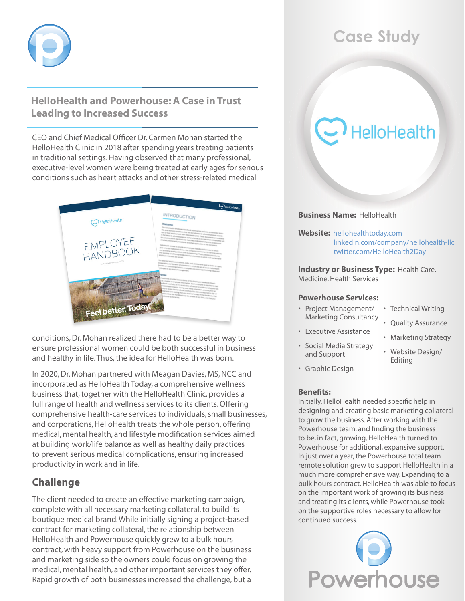

# **HelloHealth and Powerhouse: A Case in Trust Leading to Increased Success**

CEO and Chief Medical Officer Dr. Carmen Mohan started the HelloHealth Clinic in 2018 after spending years treating patients in traditional settings. Having observed that many professional, executive-level women were being treated at early ages for serious conditions such as heart attacks and other stress-related medical



conditions, Dr. Mohan realized there had to be a better way to ensure professional women could be both successful in business and healthy in life. Thus, the idea for HelloHealth was born.

In 2020, Dr. Mohan partnered with Meagan Davies, MS, NCC and incorporated as HelloHealth Today, a comprehensive wellness business that, together with the HelloHealth Clinic, provides a full range of health and wellness services to its clients. Offering comprehensive health-care services to individuals, small businesses, and corporations, HelloHealth treats the whole person, offering medical, mental health, and lifestyle modification services aimed at building work/life balance as well as healthy daily practices to prevent serious medical complications, ensuring increased productivity in work and in life.

# **Challenge**

The client needed to create an effective marketing campaign, complete with all necessary marketing collateral, to build its boutique medical brand. While initially signing a project-based contract for marketing collateral, the relationship between HelloHealth and Powerhouse quickly grew to a bulk hours contract, with heavy support from Powerhouse on the business and marketing side so the owners could focus on growing the medical, mental health, and other important services they offer. Rapid growth of both businesses increased the challenge, but a

# **Case Study**

# **HelloHealth**

#### **Business Name:** HelloHealth

**Website:** [hellohealthtoday.co](https://www.hellohealthtoday.com/)m [linkedin.com/company/hellohealth-llc](https://www.linkedin.com/company/hellohealth-llc/) [twitter.com/HelloHealth2Day](https://twitter.com/HelloHealth2Day)

**Industry or Business Type:** Health Care, Medicine, Health Services

#### **Powerhouse Services:**

- • Project Management/ Marketing Consultancy • Technical Writing
	- • Quality Assurance
	- Marketing Strategy
- • Social Media Strategy and Support

• Executive Assistance

- • Website Design/ Editing
- • Graphic Design

#### **Benefits:**

Initially, HelloHealth needed specific help in designing and creating basic marketing collateral to grow the business. After working with the Powerhouse team, and finding the business to be, in fact, growing, HelloHealth turned to Powerhouse for additional, expansive support. In just over a year, the Powerhouse total team remote solution grew to support HelloHealth in a much more comprehensive way. Expanding to a bulk hours contract, HelloHealth was able to focus on the important work of growing its business and treating its clients, while Powerhouse took on the supportive roles necessary to allow for continued success.